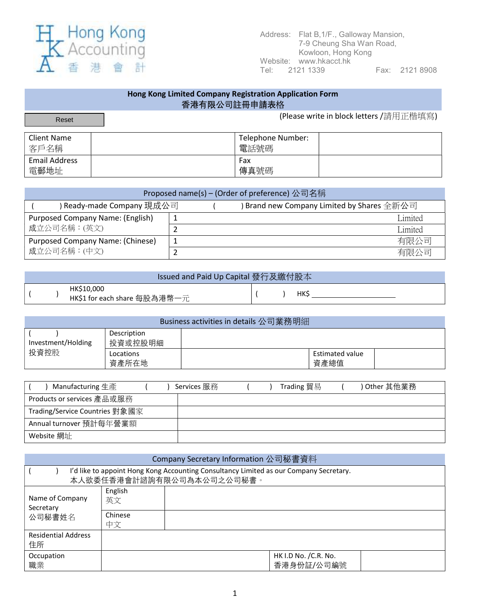

## Hong Kong Limited Company Registration Application Form 香港有限公司註冊申請表格 (Please write in block letters /請用正楷填寫) Client Name 客戶名稱 Telephone Number: 電話號碼 Email Address 電郵地址 Fax 傳真號碼 Reset

| Proposed name(s) – (Order of preference) 公司名稱 |  |  |                                                                     |  |  |  |  |
|-----------------------------------------------|--|--|---------------------------------------------------------------------|--|--|--|--|
| ↑Ready-made Company 現成公司                      |  |  | $\beta$ Brand new Company Limited by Shares $\triangle \# \Delta$ 司 |  |  |  |  |
| <b>Purposed Company Name: (English)</b>       |  |  | Limited                                                             |  |  |  |  |
| 成立公司名稱: (英文)                                  |  |  | Limited                                                             |  |  |  |  |
| Purposed Company Name: (Chinese)              |  |  | 有限公司                                                                |  |  |  |  |
| 成立公司名稱: (中文)                                  |  |  | 有限公司                                                                |  |  |  |  |

| Issued and Paid Up Capital 發行及繳付股本 |                                            |  |  |            |  |  |  |
|------------------------------------|--------------------------------------------|--|--|------------|--|--|--|
|                                    | HK\$10,000<br>HK\$1 for each share 每股為港幣一元 |  |  | <b>HKS</b> |  |  |  |

| Business activities in details 公司業務明細 |                        |  |                                |  |  |  |  |
|---------------------------------------|------------------------|--|--------------------------------|--|--|--|--|
| Investment/Holding                    | Description<br>投資或控股明細 |  |                                |  |  |  |  |
| 投資控股                                  | Locations<br>資產所在地     |  | <b>Estimated value</b><br>資產總值 |  |  |  |  |

| Manufacturing 生產               | Services 服務 |  | Trading 貿易 | ) Other 其他業務 |
|--------------------------------|-------------|--|------------|--------------|
| Products or services 產品或服務     |             |  |            |              |
| Trading/Service Countries 對象國家 |             |  |            |              |
| Annual turnover 預計每年營業額        |             |  |            |              |
| Website 網址                     |             |  |            |              |

| Company Secretary Information 公司秘書資料                                                                                |               |                                     |  |  |  |  |  |
|---------------------------------------------------------------------------------------------------------------------|---------------|-------------------------------------|--|--|--|--|--|
| I'd like to appoint Hong Kong Accounting Consultancy Limited as our Company Secretary.<br>本人欲委任香港會計諮詢有限公司為本公司之公司秘書。 |               |                                     |  |  |  |  |  |
| Name of Company<br>Secretary                                                                                        | English<br>英文 |                                     |  |  |  |  |  |
| 公司秘書姓名                                                                                                              | Chinese<br>中文 |                                     |  |  |  |  |  |
| <b>Residential Address</b><br>住所                                                                                    |               |                                     |  |  |  |  |  |
| Occupation<br>職業                                                                                                    |               | HK I.D No. / C.R. No.<br>香港身份証/公司編號 |  |  |  |  |  |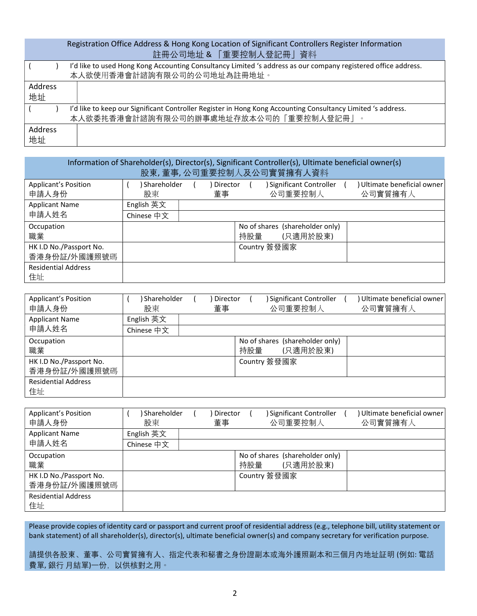## Registration Office Address & Hong Kong Location of Significant Controllers Register Information 註冊公司地址 & 「重要控制人登記冊」資料

|                      | I'd like to used Hong Kong Accounting Consultancy Limited 's address as our company registered office address.<br>本人欲使用香港會計諮詢有限公司的公司地址為註冊地址。          |
|----------------------|-------------------------------------------------------------------------------------------------------------------------------------------------------|
| Address<br>地址        |                                                                                                                                                       |
|                      | I'd like to keep our Significant Controller Register in Hong Kong Accounting Consultancy Limited 's address.<br>本人欲委扥香港會計諮詢有限公司的辦事處地址存放本公司的「重要控制人登記冊」 |
| <b>Address</b><br>地址 |                                                                                                                                                       |

| Information of Shareholder(s), Director(s), Significant Controller(s), Ultimate beneficial owner(s)<br>股東,董事,公司重要控制人及公司實質擁有人資料 |                   |  |                |     |                                             |  |                                      |  |
|--------------------------------------------------------------------------------------------------------------------------------|-------------------|--|----------------|-----|---------------------------------------------|--|--------------------------------------|--|
| <b>Applicant's Position</b><br>申請人身份                                                                                           | Shareholder<br>股東 |  | Director<br>董事 |     | Significant Controller<br>公司重要控制人           |  | Ultimate beneficial owner<br>公司實質擁有人 |  |
| <b>Applicant Name</b>                                                                                                          | English 英文        |  |                |     |                                             |  |                                      |  |
| 申請人姓名                                                                                                                          | Chinese 中文        |  |                |     |                                             |  |                                      |  |
| Occupation<br>職業                                                                                                               |                   |  |                | 持股量 | No of shares (shareholder only)<br>(只適用於股東) |  |                                      |  |
| HK I.D No./Passport No.<br>香港身份証/外國護照號碼                                                                                        |                   |  |                |     | Country 簽發國家                                |  |                                      |  |
| <b>Residential Address</b><br>住址                                                                                               |                   |  |                |     |                                             |  |                                      |  |

| Applicant's Position<br>申請人身份 | Shareholder<br>股東 | Director<br>董事 |     | Significant Controller<br>公司重要控制人 | Ultimate beneficial owner<br>公司實質擁有人 |
|-------------------------------|-------------------|----------------|-----|-----------------------------------|--------------------------------------|
| <b>Applicant Name</b>         | English 英文        |                |     |                                   |                                      |
| 申請人姓名                         | Chinese 中文        |                |     |                                   |                                      |
| Occupation                    |                   |                |     | No of shares (shareholder only)   |                                      |
| 職業                            |                   |                | 持股量 | (只適用於股東)                          |                                      |
| HK I.D No./Passport No.       |                   |                |     | Country 簽發國家                      |                                      |
| 香港身份証/外國護照號碼                  |                   |                |     |                                   |                                      |
| <b>Residential Address</b>    |                   |                |     |                                   |                                      |
| 住址                            |                   |                |     |                                   |                                      |

| <b>Applicant's Position</b><br>申請人身份    | Shareholder<br>股東 | Director<br>董事 |     | Significant Controller<br>公司重要控制人           | Ultimate beneficial owner<br>公司實質擁有人 |
|-----------------------------------------|-------------------|----------------|-----|---------------------------------------------|--------------------------------------|
| <b>Applicant Name</b>                   | English 英文        |                |     |                                             |                                      |
| 申請人姓名                                   | Chinese 中文        |                |     |                                             |                                      |
| Occupation<br>職業                        |                   |                | 持股量 | No of shares (shareholder only)<br>(只適用於股東) |                                      |
| HK I.D No./Passport No.<br>香港身份証/外國護照號碼 |                   |                |     | Country 簽發國家                                |                                      |
| <b>Residential Address</b><br>住址        |                   |                |     |                                             |                                      |

Please provide copies of identity card or passport and current proof of residential address (e.g., telephone bill, utility statement or bank statement) of all shareholder(s), director(s), ultimate beneficial owner(s) and company secretary for verification purpose.

請提供各股東、董事、公司實質擁有人、指定代表和秘書之身份證副本或海外護照副本和三個月內地址証明 (例如: 電話 費單, 銀行 月結單)一份,以供核對之用。